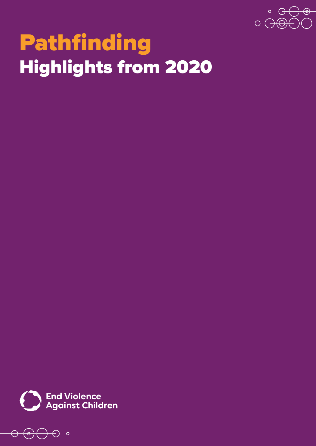

# Pathfinding **Highlights from 2020**

**End Violence<br>Against Children** 

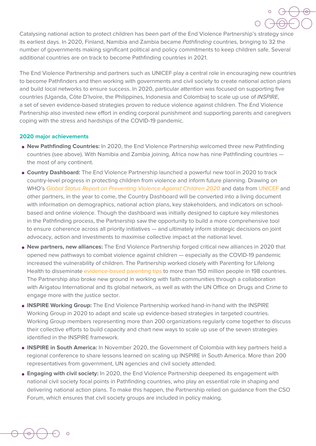

Catalysing national action to protect children has been part of the End Violence Partnership's strategy since its earliest days. In 2020, Finland, Namibia and Zambia became Pathfinding countries, bringing to 32 the number of governments making significant political and policy commitments to keep children safe. Several additional countries are on track to become Pathfinding countries in 2021.

The End Violence Partnership and partners such as UNICEF play a central role in encouraging new countries to become Pathfinders and then working with governments and civil society to create national action plans and build local networks to ensure success. In 2020, particular attention was focused on supporting five countries (Uganda, Côte D'Ivoire, the Philippines, Indonesia and Colombia) to scale up use of INSPIRE, a set of seven evidence-based strategies proven to reduce violence against children. The End Violence Partnership also invested new effort in ending corporal punishment and supporting parents and caregivers coping with the stress and hardships of the COVID-19 pandemic.

## **2020 major achievements**

- **New Pathfinding Countries:** In 2020, the End Violence Partnership welcomed three new Pathfinding countries (see above). With Namibia and Zambia joining, Africa now has nine Pathfinding countries the most of any continent.
- **Country Dashboard:** The End Violence Partnership launched a powerful new tool in 2020 to track country-level progress in protecting children from violence and inform future planning. Drawing on WHO's Global Status Report on Preventing Violence Against Children 2020 and data from [UNICEF](https://data.unicef.org) and other partners, in the year to come, the Country Dashboard will be converted into a living document based and online violence. Though the dashboard was initially designed to capture key milestones with information on demographics, national action plans, key stakeholders, and indicators on schoolin the Pathfinding process, the Partnership saw the opportunity to build a more comprehensive tool to ensure coherence across all priority initiatives — and ultimately inform strategic decisions on joint advocacy, action and investments to maximise collective impact at the national level.
- **New partners, new alliances:** The End Violence Partnership forged critical new alliances in 2020 that opened new pathways to combat violence against children — especially as the COVID-19 pandemic increased the vulnerability of children. The Partnership worked closely with Parenting for Lifelong Health to disseminate evidence-based parenting tips to more than 150 million people in 198 countries. The Partnership also broke new ground in working with faith communities through a collaboration with Arigatou International and its global network, as well as with the UN Office on Drugs and Crime to engage more with the justice sector.
- **INSPIRE Working Group:** The End Violence Partnership worked hand-in-hand with the INSPIRE Working Group in 2020 to adapt and scale up evidence-based strategies in targeted countries. Working Group members representing more than 200 organizations regularly come together to discuss their collective efforts to build capacity and chart new ways to scale up use of the seven strategies identified in the INSPIRE framework.
- **. INSPIRE in South America:** In November 2020, the Government of Colombia with key partners held a regional conference to share lessons learned on scaling up INSPIRE in South America. More than 200 representatives from government, UN agencies and civil society attended.
- **Engaging with civil society:** In 2020, the End Violence Partnership deepened its engagement with national civil society focal points in Pathfinding countries, who play an essential role in shaping and delivering national action plans. To make this happen, the Partnership relied on guidance from the CSO Forum, which ensures that civil society groups are included in policy making.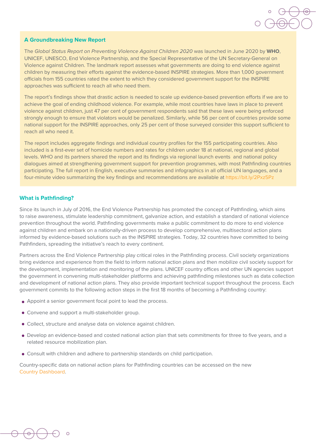## **A Groundbreaking New Report**

The Global Status Report on Preventing Violence Against Children 2020 was launched in June 2020 by WHO, UNICEF, UNESCO, End Violence Partnership, and the Special Representative of the UN Secretary-General on Violence against Children. The landmark report assesses what governments are doing to end violence against children by measuring their efforts against the evidence-based INSPIRE strategies. More than 1,000 government officials from 155 countries rated the extent to which they considered government support for the INSPIRE approaches was sufficient to reach all who need them.

The report's findings show that drastic action is needed to scale up evidence-based prevention efforts if we are to achieve the goal of ending childhood violence. For example, while most countries have laws in place to prevent violence against children, just 47 per cent of government respondents said that these laws were being enforced strongly enough to ensure that violators would be penalized. Similarly, while 56 per cent of countries provide some national support for the INSPIRE approaches, only 25 per cent of those surveyed consider this support sufficient to reach all who need it.

The report includes aggregate findings and individual country profiles for the 155 participating countries. Also included is a first-ever set of homicide numbers and rates for children under 18 at national, regional and global levels. WHO and its partners shared the report and its findings via regional launch events and national policy dialogues aimed at strengthening government support for prevention programmes, with most Pathfinding countries participating. The full report in English, executive summaries and infographics in all official UN languages, and a four-minute video summarizing the key findings and recommendations are available at https://bit.lv/2Pxz5Pz

## **What is Pathfinding?**

Since its launch in July of 2016, the End Violence Partnership has promoted the concept of Pathfinding, which aims to raise awareness, stimulate leadership commitment, galvanize action, and establish a standard of national violence prevention throughout the world. Pathfinding governments make a public commitment to do more to end violence against children and embark on a nationally-driven process to develop comprehensive, multisectoral action plans informed by evidence-based solutions such as the INSPIRE strategies. Today, 32 countries have committed to being Pathfinders, spreading the initiative's reach to every continent.

Partners across the End Violence Partnership play critical roles in the Pathfinding process. Civil society organizations bring evidence and experience from the field to inform national action plans and then mobilize civil society support for the development, implementation and monitoring of the plans. UNICEF country offices and other UN agencies support the government in convening multi-stakeholder platforms and achieving pathfinding milestones such as data collection and development of national action plans. They also provide important technical support throughout the process. Each government commits to the following action steps in the first 18 months of becoming a Pathfinding country:

- $\bullet$  Appoint a senior government focal point to lead the process.
- Convene and support a multi-stakeholder group.
- Collect, structure and analyse data on violence against children.
- Develop an evidence-based and costed national action plan that sets commitments for three to five years, and a related resource mobilization plan.
- Consult with children and adhere to partnership standards on child participation.

Country-specific data on national action plans for Pathfinding countries can be accessed on the new Country Dashboard.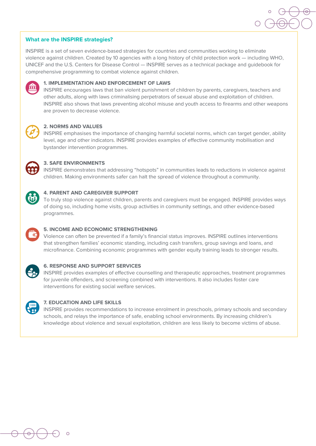## **What are the INSPIRE strategies?**

INSPIRE is a set of seven evidence-based strategies for countries and communities working to eliminate violence against children. Created by 10 agencies with a long history of child protection work – including WHO. UNICEF and the U.S. Centers for Disease Control — INSPIRE serves as a technical package and quidebook for comprehensive programming to combat violence against children.



#### **1. IMPLEMENTATION AND ENFORCEMENT OF LAWS**

INSPIRE encourages laws that ban violent punishment of children by parents, caregivers, teachers and other adults, along with laws criminalising perpetrators of sexual abuse and exploitation of children. INSPIRE also shows that laws preventing alcohol misuse and youth access to firearms and other weapons are proven to decrease violence.



## **2. NORMS AND VALUES**

INSPIRE emphasises the importance of changing harmful societal norms, which can target gender, ability level, age and other indicators. INSPIRE provides examples of effective community mobilisation and bystander intervention programmes.



#### **S. SAFE ENVIRONMENTS**

INSPIRE demonstrates that addressing "hotspots" in communities leads to reductions in violence against children. Making environments safer can halt the spread of violence throughout a community.



#### **4. PARENT AND CAREGIVER SUPPORT**

To truly stop violence against children, parents and caregivers must be engaged. INSPIRE provides ways of doing so, including home visits, group activities in community settings, and other evidence-based .programmes



## **5. INCOME AND ECONOMIC STRENGTHENING**

Violence can often be prevented if a family's financial status improves. INSPIRE outlines interventions that strengthen families' economic standing, including cash transfers, group savings and loans, and microfinance. Combining economic programmes with gender equity training leads to stronger results.

#### **6. RESPONSE AND SUPPORT SERVICES**

INSPIRE provides examples of effective counselling and therapeutic approaches, treatment programmes for juvenile offenders, and screening combined with interventions. It also includes foster care interventions for existing social welfare services.



#### **7. EDUCATION AND LIFE SKILLS**

INSPIRE provides recommendations to increase enrolment in preschools, primary schools and secondary schools, and relays the importance of safe, enabling school environments. By increasing children's knowledge about violence and sexual exploitation, children are less likely to become victims of abuse.